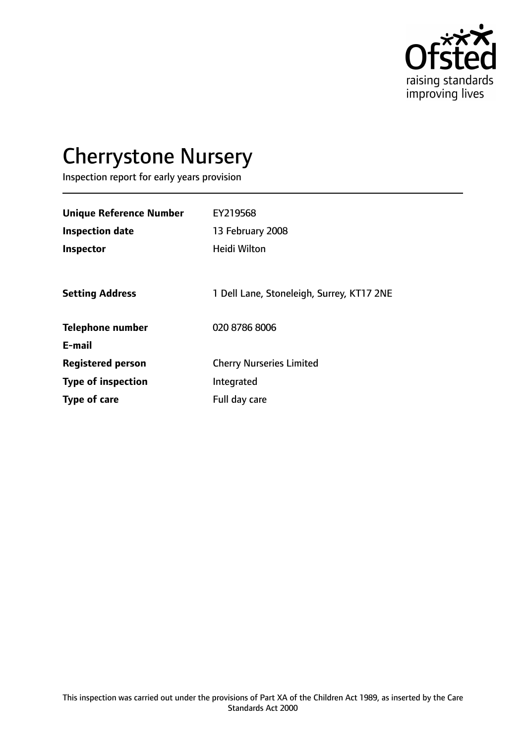

# Cherrystone Nursery

Inspection report for early years provision

| <b>Unique Reference Number</b><br><b>Inspection date</b> | EY219568<br>13 February 2008              |
|----------------------------------------------------------|-------------------------------------------|
| <b>Inspector</b>                                         | <b>Heidi Wilton</b>                       |
| <b>Setting Address</b>                                   | 1 Dell Lane, Stoneleigh, Surrey, KT17 2NE |
| <b>Telephone number</b>                                  | 020 8786 8006                             |
| E-mail                                                   |                                           |
| <b>Registered person</b>                                 | <b>Cherry Nurseries Limited</b>           |
| <b>Type of inspection</b>                                | Integrated                                |
| Type of care                                             | Full day care                             |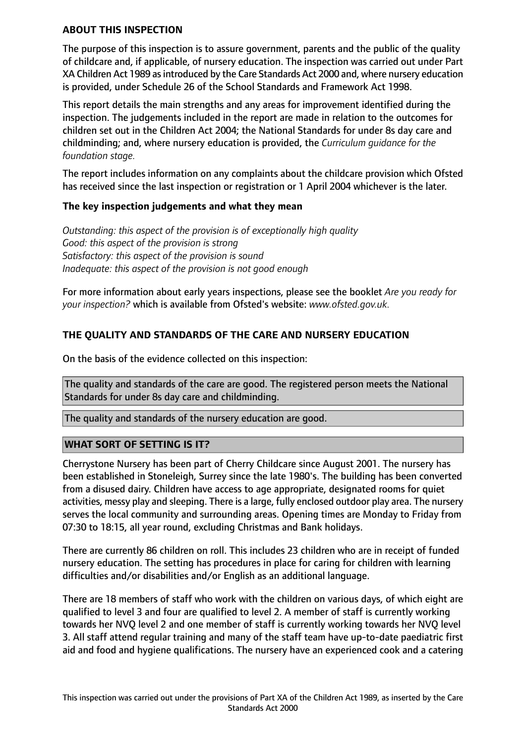#### **ABOUT THIS INSPECTION**

The purpose of this inspection is to assure government, parents and the public of the quality of childcare and, if applicable, of nursery education. The inspection was carried out under Part XA Children Act 1989 as introduced by the Care Standards Act 2000 and, where nursery education is provided, under Schedule 26 of the School Standards and Framework Act 1998.

This report details the main strengths and any areas for improvement identified during the inspection. The judgements included in the report are made in relation to the outcomes for children set out in the Children Act 2004; the National Standards for under 8s day care and childminding; and, where nursery education is provided, the *Curriculum guidance for the foundation stage.*

The report includes information on any complaints about the childcare provision which Ofsted has received since the last inspection or registration or 1 April 2004 whichever is the later.

#### **The key inspection judgements and what they mean**

*Outstanding: this aspect of the provision is of exceptionally high quality Good: this aspect of the provision is strong Satisfactory: this aspect of the provision is sound Inadequate: this aspect of the provision is not good enough*

For more information about early years inspections, please see the booklet *Are you ready for your inspection?* which is available from Ofsted's website: *www.ofsted.gov.uk.*

## **THE QUALITY AND STANDARDS OF THE CARE AND NURSERY EDUCATION**

On the basis of the evidence collected on this inspection:

The quality and standards of the care are good. The registered person meets the National Standards for under 8s day care and childminding.

The quality and standards of the nursery education are good.

#### **WHAT SORT OF SETTING IS IT?**

Cherrystone Nursery has been part of Cherry Childcare since August 2001. The nursery has been established in Stoneleigh, Surrey since the late 1980's. The building has been converted from a disused dairy. Children have access to age appropriate, designated rooms for quiet activities, messy play and sleeping. There is a large, fully enclosed outdoor play area. The nursery serves the local community and surrounding areas. Opening times are Monday to Friday from 07:30 to 18:15, all year round, excluding Christmas and Bank holidays.

There are currently 86 children on roll. This includes 23 children who are in receipt of funded nursery education. The setting has procedures in place for caring for children with learning difficulties and/or disabilities and/or English as an additional language.

There are 18 members of staff who work with the children on various days, of which eight are qualified to level 3 and four are qualified to level 2. A member of staff is currently working towards her NVQ level 2 and one member of staff is currently working towards her NVQ level 3. All staff attend regular training and many of the staff team have up-to-date paediatric first aid and food and hygiene qualifications. The nursery have an experienced cook and a catering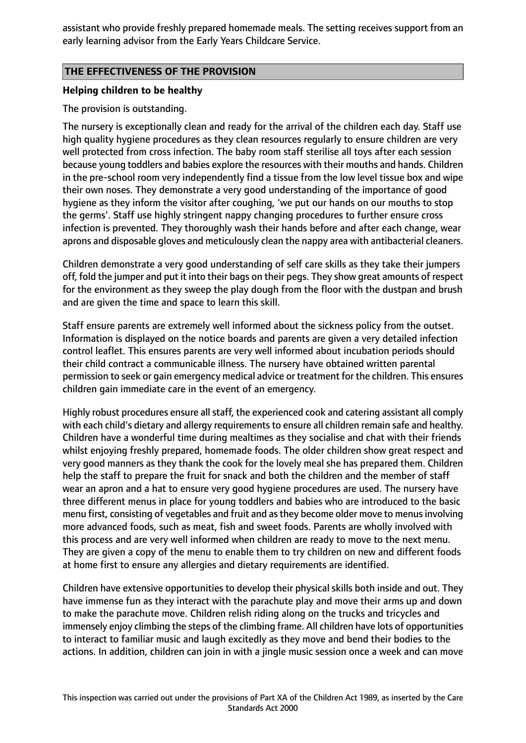assistant who provide freshly prepared homemade meals. The setting receives support from an early learning advisor from the Early Years Childcare Service.

#### **THE EFFECTIVENESS OF THE PROVISION**

#### **Helping children to be healthy**

#### The provision is outstanding.

The nursery is exceptionally clean and ready for the arrival of the children each day. Staff use high quality hygiene procedures as they clean resources regularly to ensure children are very well protected from cross infection. The baby room staff sterilise all toys after each session because young toddlers and babies explore the resources with their mouths and hands. Children in the pre-school room very independently find a tissue from the low level tissue box and wipe their own noses. They demonstrate a very good understanding of the importance of good hygiene as they inform the visitor after coughing, 'we put our hands on our mouths to stop the germs'. Staff use highly stringent nappy changing procedures to further ensure cross infection is prevented. They thoroughly wash their hands before and after each change, wear aprons and disposable gloves and meticulously clean the nappy area with antibacterial cleaners.

Children demonstrate a very good understanding of self care skills as they take their jumpers off, fold the jumper and put it into their bags on their pegs. They show great amounts of respect for the environment as they sweep the play dough from the floor with the dustpan and brush and are given the time and space to learn this skill.

Staff ensure parents are extremely well informed about the sickness policy from the outset. Information is displayed on the notice boards and parents are given a very detailed infection control leaflet. This ensures parents are very well informed about incubation periods should their child contract a communicable illness. The nursery have obtained written parental permission to seek or gain emergency medical advice or treatment for the children. This ensures children gain immediate care in the event of an emergency.

Highly robust procedures ensure all staff, the experienced cook and catering assistant all comply with each child's dietary and allergy requirements to ensure all children remain safe and healthy. Children have a wonderful time during mealtimes as they socialise and chat with their friends whilst enjoying freshly prepared, homemade foods. The older children show great respect and very good manners as they thank the cook for the lovely meal she has prepared them. Children help the staff to prepare the fruit for snack and both the children and the member of staff wear an apron and a hat to ensure very good hygiene procedures are used. The nursery have three different menus in place for young toddlers and babies who are introduced to the basic menu first, consisting of vegetables and fruit and as they become older move to menus involving more advanced foods, such as meat, fish and sweet foods. Parents are wholly involved with this process and are very well informed when children are ready to move to the next menu. They are given a copy of the menu to enable them to try children on new and different foods at home first to ensure any allergies and dietary requirements are identified.

Children have extensive opportunities to develop their physical skills both inside and out. They have immense fun as they interact with the parachute play and move their arms up and down to make the parachute move. Children relish riding along on the trucks and tricycles and immensely enjoy climbing the steps of the climbing frame. All children have lots of opportunities to interact to familiar music and laugh excitedly as they move and bend their bodies to the actions. In addition, children can join in with a jingle music session once a week and can move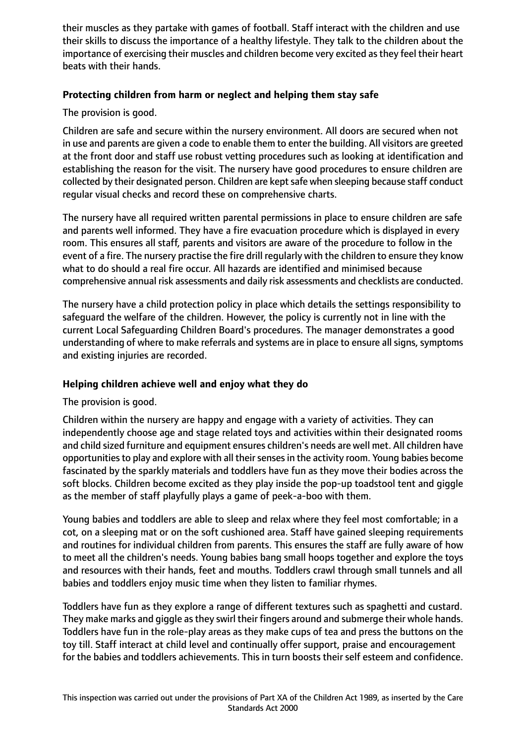their muscles as they partake with games of football. Staff interact with the children and use their skills to discuss the importance of a healthy lifestyle. They talk to the children about the importance of exercising their muscles and children become very excited as they feel their heart beats with their hands.

## **Protecting children from harm or neglect and helping them stay safe**

The provision is good.

Children are safe and secure within the nursery environment. All doors are secured when not in use and parents are given a code to enable them to enter the building. All visitors are greeted at the front door and staff use robust vetting procedures such as looking at identification and establishing the reason for the visit. The nursery have good procedures to ensure children are collected by their designated person. Children are kept safe when sleeping because staff conduct regular visual checks and record these on comprehensive charts.

The nursery have all required written parental permissions in place to ensure children are safe and parents well informed. They have a fire evacuation procedure which is displayed in every room. This ensures all staff, parents and visitors are aware of the procedure to follow in the event of a fire. The nursery practise the fire drill regularly with the children to ensure they know what to do should a real fire occur. All hazards are identified and minimised because comprehensive annual risk assessments and daily risk assessments and checklists are conducted.

The nursery have a child protection policy in place which details the settings responsibility to safeguard the welfare of the children. However, the policy is currently not in line with the current Local Safeguarding Children Board's procedures. The manager demonstrates a good understanding of where to make referrals and systems are in place to ensure all signs, symptoms and existing injuries are recorded.

#### **Helping children achieve well and enjoy what they do**

The provision is good.

Children within the nursery are happy and engage with a variety of activities. They can independently choose age and stage related toys and activities within their designated rooms and child sized furniture and equipment ensures children's needs are well met. All children have opportunities to play and explore with all their senses in the activity room. Young babies become fascinated by the sparkly materials and toddlers have fun as they move their bodies across the soft blocks. Children become excited as they play inside the pop-up toadstool tent and giggle as the member of staff playfully plays a game of peek-a-boo with them.

Young babies and toddlers are able to sleep and relax where they feel most comfortable; in a cot, on a sleeping mat or on the soft cushioned area. Staff have gained sleeping requirements and routines for individual children from parents. This ensures the staff are fully aware of how to meet all the children's needs. Young babies bang small hoops together and explore the toys and resources with their hands, feet and mouths. Toddlers crawl through small tunnels and all babies and toddlers enjoy music time when they listen to familiar rhymes.

Toddlers have fun as they explore a range of different textures such as spaghetti and custard. They make marks and giggle as they swirl their fingers around and submerge their whole hands. Toddlers have fun in the role-play areas as they make cups of tea and press the buttons on the toy till. Staff interact at child level and continually offer support, praise and encouragement for the babies and toddlers achievements. This in turn boosts their self esteem and confidence.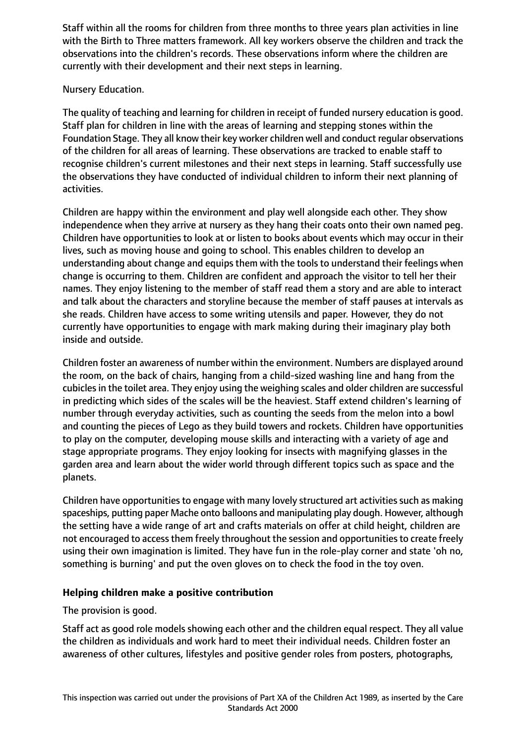Staff within all the rooms for children from three months to three years plan activities in line with the Birth to Three matters framework. All key workers observe the children and track the observations into the children's records. These observations inform where the children are currently with their development and their next steps in learning.

## Nursery Education.

The quality of teaching and learning for children in receipt of funded nursery education is good. Staff plan for children in line with the areas of learning and stepping stones within the Foundation Stage. They all know their key worker children well and conduct regular observations of the children for all areas of learning. These observations are tracked to enable staff to recognise children's current milestones and their next steps in learning. Staff successfully use the observations they have conducted of individual children to inform their next planning of activities.

Children are happy within the environment and play well alongside each other. They show independence when they arrive at nursery as they hang their coats onto their own named peg. Children have opportunities to look at or listen to books about events which may occur in their lives, such as moving house and going to school. This enables children to develop an understanding about change and equips them with the tools to understand their feelings when change is occurring to them. Children are confident and approach the visitor to tell her their names. They enjoy listening to the member of staff read them a story and are able to interact and talk about the characters and storyline because the member of staff pauses at intervals as she reads. Children have access to some writing utensils and paper. However, they do not currently have opportunities to engage with mark making during their imaginary play both inside and outside.

Children foster an awareness of number within the environment. Numbers are displayed around the room, on the back of chairs, hanging from a child-sized washing line and hang from the cubicles in the toilet area. They enjoy using the weighing scales and older children are successful in predicting which sides of the scales will be the heaviest. Staff extend children's learning of number through everyday activities, such as counting the seeds from the melon into a bowl and counting the pieces of Lego as they build towers and rockets. Children have opportunities to play on the computer, developing mouse skills and interacting with a variety of age and stage appropriate programs. They enjoy looking for insects with magnifying glasses in the garden area and learn about the wider world through different topics such as space and the planets.

Children have opportunities to engage with many lovely structured art activities such as making spaceships, putting paper Mache onto balloons and manipulating play dough. However, although the setting have a wide range of art and crafts materials on offer at child height, children are not encouraged to access them freely throughout the session and opportunities to create freely using their own imagination is limited. They have fun in the role-play corner and state 'oh no, something is burning' and put the oven gloves on to check the food in the toy oven.

# **Helping children make a positive contribution**

The provision is good.

Staff act as good role models showing each other and the children equal respect. They all value the children as individuals and work hard to meet their individual needs. Children foster an awareness of other cultures, lifestyles and positive gender roles from posters, photographs,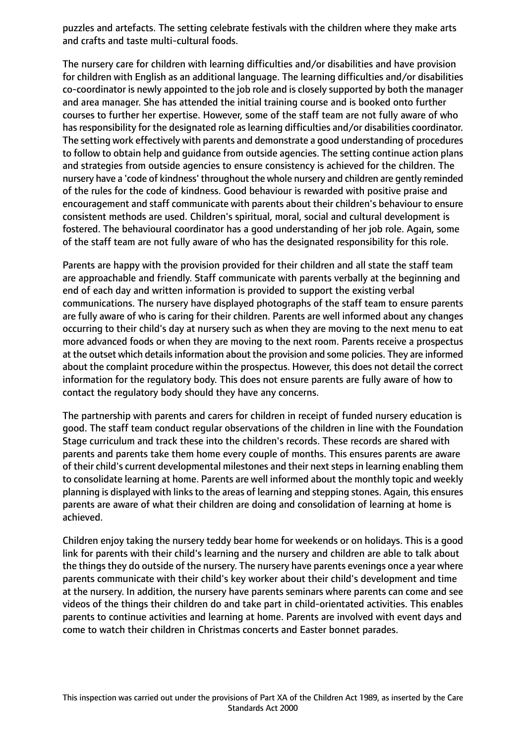puzzles and artefacts. The setting celebrate festivals with the children where they make arts and crafts and taste multi-cultural foods.

The nursery care for children with learning difficulties and/or disabilities and have provision for children with English as an additional language. The learning difficulties and/or disabilities co-coordinator is newly appointed to the job role and is closely supported by both the manager and area manager. She has attended the initial training course and is booked onto further courses to further her expertise. However, some of the staff team are not fully aware of who has responsibility for the designated role as learning difficulties and/or disabilities coordinator. The setting work effectively with parents and demonstrate a good understanding of procedures to follow to obtain help and guidance from outside agencies. The setting continue action plans and strategies from outside agencies to ensure consistency is achieved for the children. The nursery have a 'code of kindness' throughout the whole nursery and children are gently reminded of the rules for the code of kindness. Good behaviour is rewarded with positive praise and encouragement and staff communicate with parents about their children's behaviour to ensure consistent methods are used. Children's spiritual, moral, social and cultural development is fostered. The behavioural coordinator has a good understanding of her job role. Again, some of the staff team are not fully aware of who has the designated responsibility for this role.

Parents are happy with the provision provided for their children and all state the staff team are approachable and friendly. Staff communicate with parents verbally at the beginning and end of each day and written information is provided to support the existing verbal communications. The nursery have displayed photographs of the staff team to ensure parents are fully aware of who is caring for their children. Parents are well informed about any changes occurring to their child's day at nursery such as when they are moving to the next menu to eat more advanced foods or when they are moving to the next room. Parents receive a prospectus at the outset which details information about the provision and some policies. They are informed about the complaint procedure within the prospectus. However, this does not detail the correct information for the regulatory body. This does not ensure parents are fully aware of how to contact the regulatory body should they have any concerns.

The partnership with parents and carers for children in receipt of funded nursery education is good. The staff team conduct regular observations of the children in line with the Foundation Stage curriculum and track these into the children's records. These records are shared with parents and parents take them home every couple of months. This ensures parents are aware of their child's current developmental milestones and their next steps in learning enabling them to consolidate learning at home. Parents are well informed about the monthly topic and weekly planning is displayed with links to the areas of learning and stepping stones. Again, this ensures parents are aware of what their children are doing and consolidation of learning at home is achieved.

Children enjoy taking the nursery teddy bear home for weekends or on holidays. This is a good link for parents with their child's learning and the nursery and children are able to talk about the things they do outside of the nursery. The nursery have parents evenings once a year where parents communicate with their child's key worker about their child's development and time at the nursery. In addition, the nursery have parents seminars where parents can come and see videos of the things their children do and take part in child-orientated activities. This enables parents to continue activities and learning at home. Parents are involved with event days and come to watch their children in Christmas concerts and Easter bonnet parades.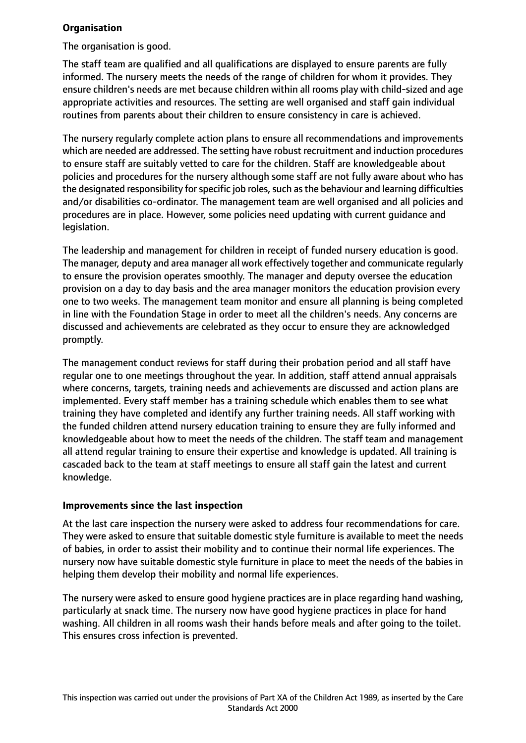## **Organisation**

The organisation is good.

The staff team are qualified and all qualifications are displayed to ensure parents are fully informed. The nursery meets the needs of the range of children for whom it provides. They ensure children's needs are met because children within all rooms play with child-sized and age appropriate activities and resources. The setting are well organised and staff gain individual routines from parents about their children to ensure consistency in care is achieved.

The nursery regularly complete action plans to ensure all recommendations and improvements which are needed are addressed. The setting have robust recruitment and induction procedures to ensure staff are suitably vetted to care for the children. Staff are knowledgeable about policies and procedures for the nursery although some staff are not fully aware about who has the designated responsibility for specific job roles, such as the behaviour and learning difficulties and/or disabilities co-ordinator. The management team are well organised and all policies and procedures are in place. However, some policies need updating with current guidance and legislation.

The leadership and management for children in receipt of funded nursery education is good. The manager, deputy and area manager all work effectively together and communicate regularly to ensure the provision operates smoothly. The manager and deputy oversee the education provision on a day to day basis and the area manager monitors the education provision every one to two weeks. The management team monitor and ensure all planning is being completed in line with the Foundation Stage in order to meet all the children's needs. Any concerns are discussed and achievements are celebrated as they occur to ensure they are acknowledged promptly.

The management conduct reviews for staff during their probation period and all staff have regular one to one meetings throughout the year. In addition, staff attend annual appraisals where concerns, targets, training needs and achievements are discussed and action plans are implemented. Every staff member has a training schedule which enables them to see what training they have completed and identify any further training needs. All staff working with the funded children attend nursery education training to ensure they are fully informed and knowledgeable about how to meet the needs of the children. The staff team and management all attend regular training to ensure their expertise and knowledge is updated. All training is cascaded back to the team at staff meetings to ensure all staff gain the latest and current knowledge.

#### **Improvements since the last inspection**

At the last care inspection the nursery were asked to address four recommendations for care. They were asked to ensure that suitable domestic style furniture is available to meet the needs of babies, in order to assist their mobility and to continue their normal life experiences. The nursery now have suitable domestic style furniture in place to meet the needs of the babies in helping them develop their mobility and normal life experiences.

The nursery were asked to ensure good hygiene practices are in place regarding hand washing, particularly at snack time. The nursery now have good hygiene practices in place for hand washing. All children in all rooms wash their hands before meals and after going to the toilet. This ensures cross infection is prevented.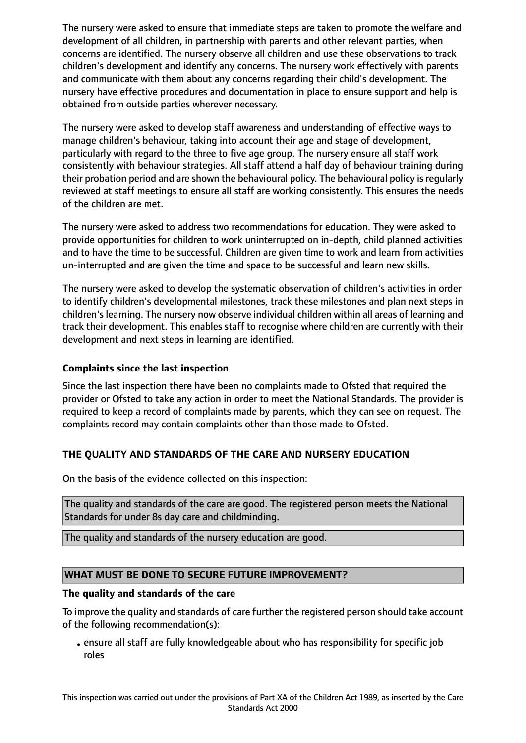The nursery were asked to ensure that immediate steps are taken to promote the welfare and development of all children, in partnership with parents and other relevant parties, when concerns are identified. The nursery observe all children and use these observations to track children's development and identify any concerns. The nursery work effectively with parents and communicate with them about any concerns regarding their child's development. The nursery have effective procedures and documentation in place to ensure support and help is obtained from outside parties wherever necessary.

The nursery were asked to develop staff awareness and understanding of effective ways to manage children's behaviour, taking into account their age and stage of development, particularly with regard to the three to five age group. The nursery ensure all staff work consistently with behaviour strategies. All staff attend a half day of behaviour training during their probation period and are shown the behavioural policy. The behavioural policy is regularly reviewed at staff meetings to ensure all staff are working consistently. This ensures the needs of the children are met.

The nursery were asked to address two recommendations for education. They were asked to provide opportunities for children to work uninterrupted on in-depth, child planned activities and to have the time to be successful. Children are given time to work and learn from activities un-interrupted and are given the time and space to be successful and learn new skills.

The nursery were asked to develop the systematic observation of children's activities in order to identify children's developmental milestones, track these milestones and plan next steps in children's learning. The nursery now observe individual children within all areas of learning and track their development. This enables staff to recognise where children are currently with their development and next steps in learning are identified.

## **Complaints since the last inspection**

Since the last inspection there have been no complaints made to Ofsted that required the provider or Ofsted to take any action in order to meet the National Standards. The provider is required to keep a record of complaints made by parents, which they can see on request. The complaints record may contain complaints other than those made to Ofsted.

# **THE QUALITY AND STANDARDS OF THE CARE AND NURSERY EDUCATION**

On the basis of the evidence collected on this inspection:

The quality and standards of the care are good. The registered person meets the National Standards for under 8s day care and childminding.

The quality and standards of the nursery education are good.

# **WHAT MUST BE DONE TO SECURE FUTURE IMPROVEMENT?**

#### **The quality and standards of the care**

To improve the quality and standards of care further the registered person should take account of the following recommendation(s):

•ensure all staff are fully knowledgeable about who has responsibility for specific job roles